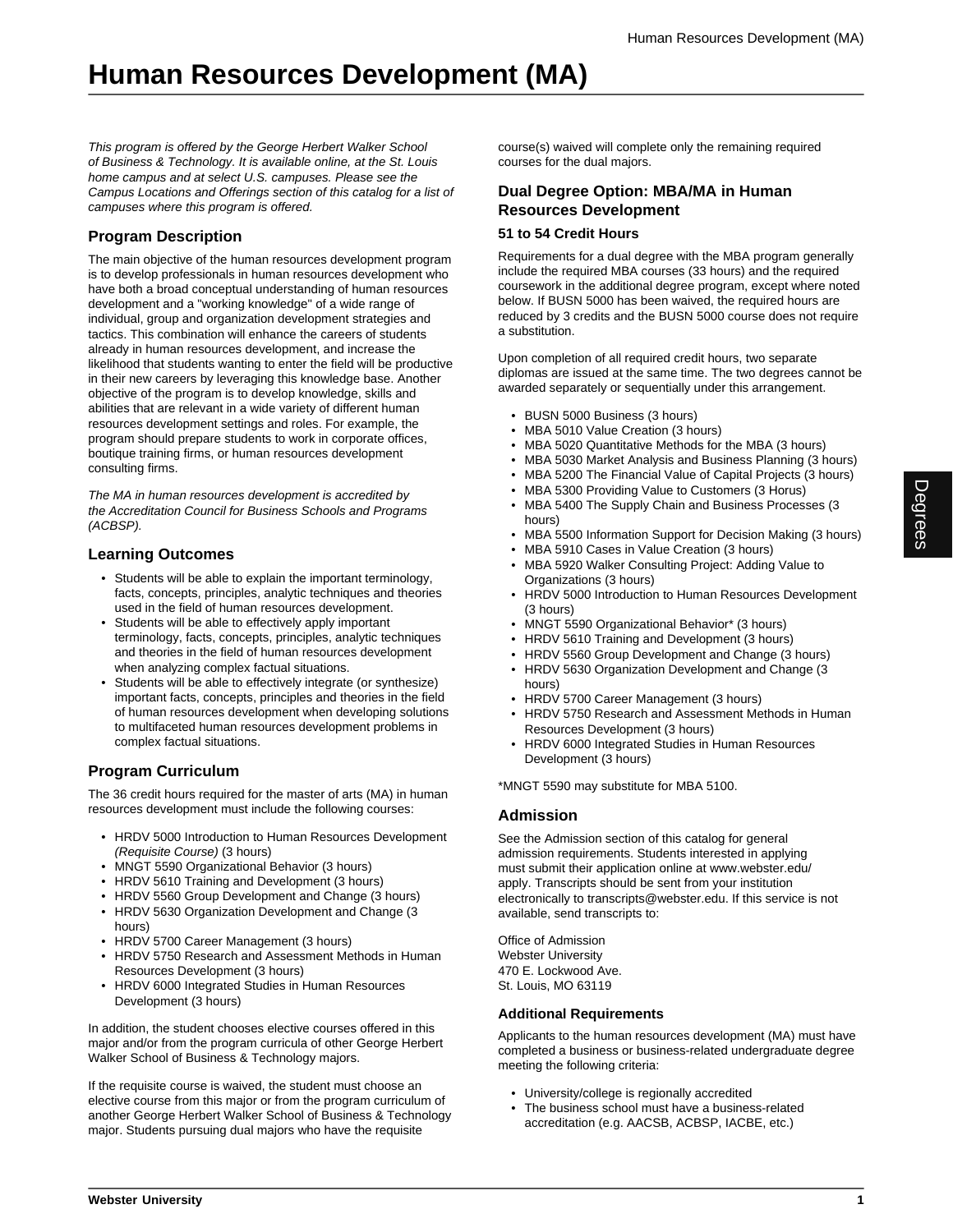This program is offered by the George Herbert Walker School of Business & Technology. It is available online, at the St. Louis home campus and at select U.S. campuses. Please see the Campus Locations and Offerings section of this catalog for a list of campuses where this program is offered.

## **Program Description**

The main objective of the human resources development program is to develop professionals in human resources development who have both a broad conceptual understanding of human resources development and a "working knowledge" of a wide range of individual, group and organization development strategies and tactics. This combination will enhance the careers of students already in human resources development, and increase the likelihood that students wanting to enter the field will be productive in their new careers by leveraging this knowledge base. Another objective of the program is to develop knowledge, skills and abilities that are relevant in a wide variety of different human resources development settings and roles. For example, the program should prepare students to work in corporate offices, boutique training firms, or human resources development consulting firms.

The MA in human resources development is accredited by the Accreditation Council for Business Schools and Programs (ACBSP).

### **Learning Outcomes**

- Students will be able to explain the important terminology, facts, concepts, principles, analytic techniques and theories used in the field of human resources development.
- Students will be able to effectively apply important terminology, facts, concepts, principles, analytic techniques and theories in the field of human resources development when analyzing complex factual situations.
- Students will be able to effectively integrate (or synthesize) important facts, concepts, principles and theories in the field of human resources development when developing solutions to multifaceted human resources development problems in complex factual situations.

## **Program Curriculum**

The 36 credit hours required for the master of arts (MA) in human resources development must include the following courses:

- HRDV 5000 Introduction to Human Resources Development (Requisite Course) (3 hours)
- MNGT 5590 Organizational Behavior (3 hours)
- HRDV 5610 Training and Development (3 hours)
- HRDV 5560 Group Development and Change (3 hours) • HRDV 5630 Organization Development and Change (3
- hours)
- HRDV 5700 Career Management (3 hours)
- HRDV 5750 Research and Assessment Methods in Human Resources Development (3 hours)
- HRDV 6000 Integrated Studies in Human Resources Development (3 hours)

In addition, the student chooses elective courses offered in this major and/or from the program curricula of other George Herbert Walker School of Business & Technology majors.

If the requisite course is waived, the student must choose an elective course from this major or from the program curriculum of another George Herbert Walker School of Business & Technology major. Students pursuing dual majors who have the requisite

course(s) waived will complete only the remaining required courses for the dual majors.

## **Dual Degree Option: MBA/MA in Human Resources Development**

#### **51 to 54 Credit Hours**

Requirements for a dual degree with the MBA program generally include the required MBA courses (33 hours) and the required coursework in the additional degree program, except where noted below. If BUSN 5000 has been waived, the required hours are reduced by 3 credits and the BUSN 5000 course does not require a substitution.

Upon completion of all required credit hours, two separate diplomas are issued at the same time. The two degrees cannot be awarded separately or sequentially under this arrangement.

- BUSN 5000 Business (3 hours)
- MBA 5010 Value Creation (3 hours)
- MBA 5020 Quantitative Methods for the MBA (3 hours)
- MBA 5030 Market Analysis and Business Planning (3 hours)
- MBA 5200 The Financial Value of Capital Projects (3 hours)
- MBA 5300 Providing Value to Customers (3 Horus)
- MBA 5400 The Supply Chain and Business Processes (3 hours)
- MBA 5500 Information Support for Decision Making (3 hours)
- MBA 5910 Cases in Value Creation (3 hours)
- MBA 5920 Walker Consulting Project: Adding Value to Organizations (3 hours)
- HRDV 5000 Introduction to Human Resources Development (3 hours)
- MNGT 5590 Organizational Behavior\* (3 hours)
- HRDV 5610 Training and Development (3 hours)
- HRDV 5560 Group Development and Change (3 hours)
- HRDV 5630 Organization Development and Change (3 hours)
- HRDV 5700 Career Management (3 hours)
- HRDV 5750 Research and Assessment Methods in Human Resources Development (3 hours)
- HRDV 6000 Integrated Studies in Human Resources Development (3 hours)

\*MNGT 5590 may substitute for MBA 5100.

## **Admission**

See the Admission section of this catalog for general admission requirements. Students interested in applying must submit their application online at www.webster.edu/ apply. Transcripts should be sent from your institution electronically to transcripts@webster.edu. If this service is not available, send transcripts to:

Office of Admission Webster University 470 E. Lockwood Ave. St. Louis, MO 63119

#### **Additional Requirements**

Applicants to the human resources development (MA) must have completed a business or business-related undergraduate degree meeting the following criteria:

- University/college is regionally accredited
- The business school must have a business-related accreditation (e.g. AACSB, ACBSP, IACBE, etc.)